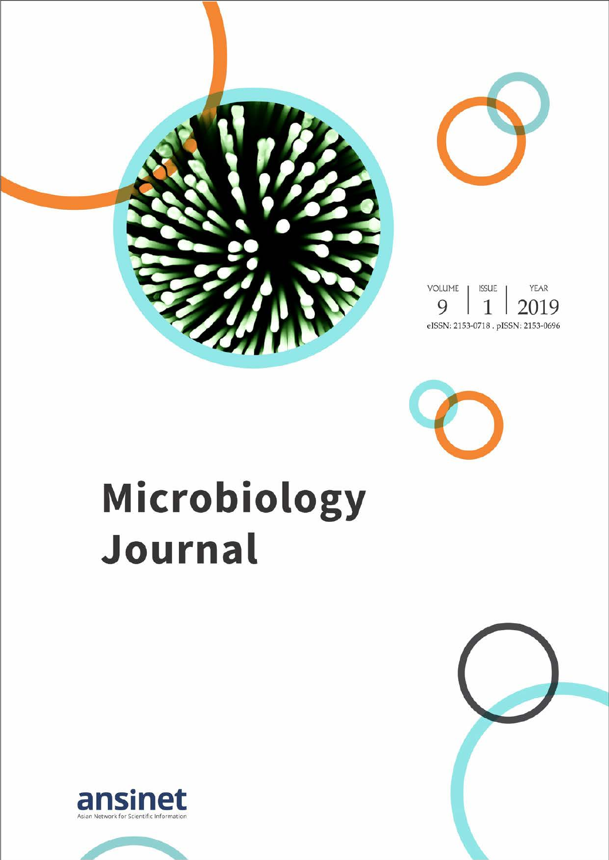



# Microbiology Journal



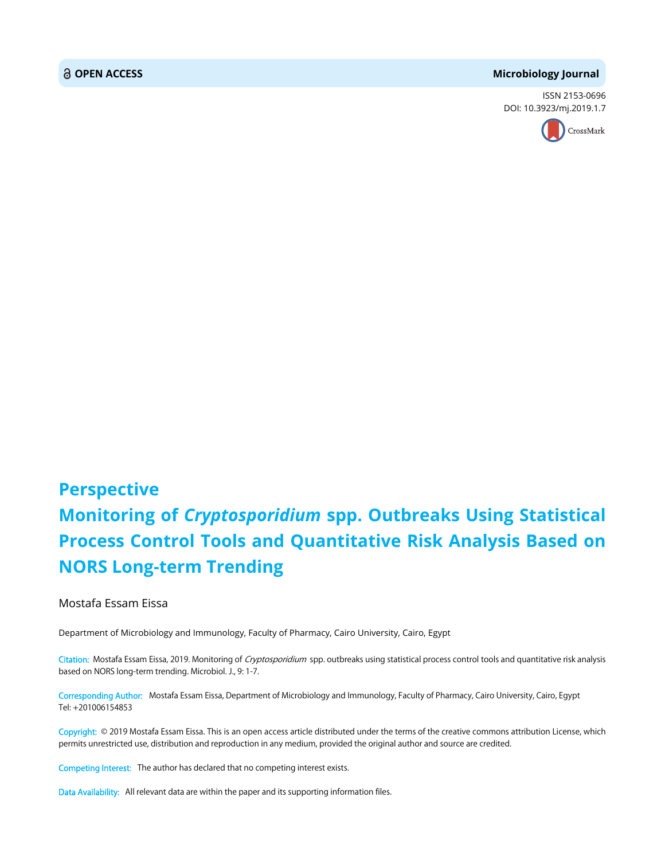#### **OPEN ACCESS Microbiology Journal**

ISSN 2153-0696 DOI: 10.3923/mj.2019.1.7



## **Perspective Monitoring of** *Cryptosporidium* **spp. Outbreaks Using Statistical Process Control Tools and Quantitative Risk Analysis Based on NORS Long-term Trending**

#### Mostafa Essam Eissa

Department of Microbiology and Immunology, Faculty of Pharmacy, Cairo University, Cairo, Egypt

Citation: Mostafa Essam Eissa, 2019. Monitoring of Cryptosporidium spp. outbreaks using statistical process control tools and quantitative risk analysis based on NORS long-term trending. Microbiol. J., 9: 1-7.

Corresponding Author: Mostafa Essam Eissa, Department of Microbiology and Immunology, Faculty of Pharmacy, Cairo University, Cairo, Egypt Tel: +201006154853

Copyright: © 2019 Mostafa Essam Eissa. This is an open access article distributed under the terms of the creative commons attribution License, which permits unrestricted use, distribution and reproduction in any medium, provided the original author and source are credited.

Competing Interest: The author has declared that no competing interest exists.

Data Availability: All relevant data are within the paper and its supporting information files.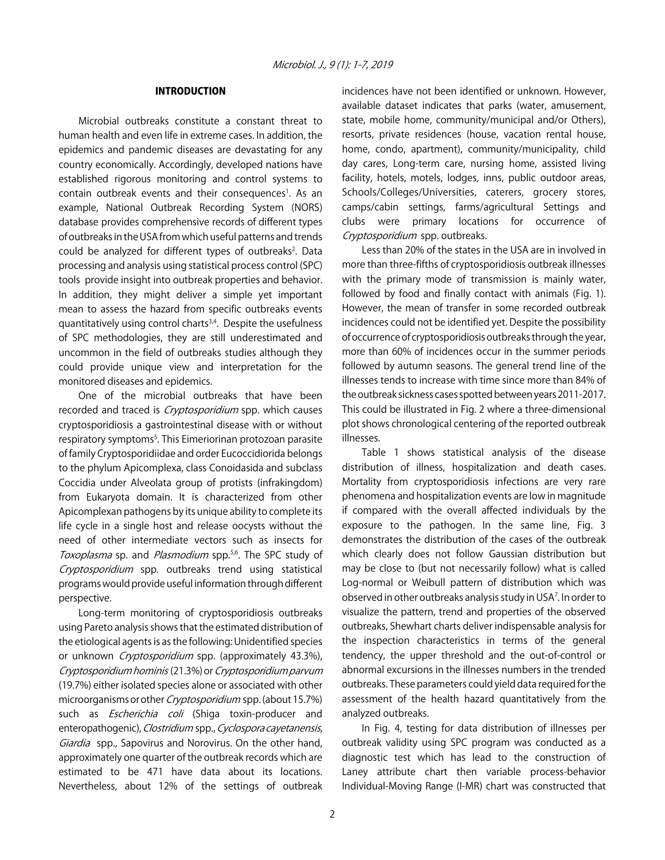#### INTRODUCTION

Microbial outbreaks constitute a constant threat to human health and even life in extreme cases. In addition, the epidemics and pandemic diseases are devastating for any country economically. Accordingly, developed nations have established rigorous monitoring and control systems to contain outbreak events and their consequences<sup>1</sup>. As an example, National Outbreak Recording System (NORS) database provides comprehensive records of different types of outbreaks in the USA from which useful patterns and trends could be analyzed for different types of outbreaks<sup>2</sup>. Data processing and analysis using statistical process control (SPC) tools provide insight into outbreak properties and behavior. In addition, they might deliver a simple yet important mean to assess the hazard from specific outbreaks events quantitatively using control charts3,4. Despite the usefulness of SPC methodologies, they are still underestimated and uncommon in the field of outbreaks studies although they could provide unique view and interpretation for the monitored diseases and epidemics.

One of the microbial outbreaks that have been recorded and traced is *Cryptosporidium* spp. which causes cryptosporidiosis a gastrointestinal disease with or without respiratory symptoms<sup>5</sup>. This Eimeriorinan protozoan parasite of family Cryptosporidiidae and order Eucoccidiorida belongs to the phylum Apicomplexa, class Conoidasida and subclass Coccidia under Alveolata group of protists (infrakingdom) from Eukaryota domain. It is characterized from other Apicomplexan pathogens by its unique ability to complete its life cycle in a single host and release oocysts without the need of other intermediate vectors such as insects for Toxoplasma sp. and Plasmodium spp.<sup>5,6</sup>. The SPC study of Cryptosporidium spp. outbreaks trend using statistical programs would provide useful information through different perspective.

Long-term monitoring of cryptosporidiosis outbreaks using Pareto analysis shows that the estimated distribution of the etiological agents is as the following: Unidentified species or unknown *Cryptosporidium* spp. (approximately 43.3%), Cryptosporidium hominis (21.3%) or Cryptosporidium parvum (19.7%) either isolated species alone or associated with other microorganisms or other Cryptosporidium spp. (about 15.7%) such as *Escherichia coli* (Shiga toxin-producer and enteropathogenic), Clostridium spp., Cyclospora cayetanensis, Giardia spp., Sapovirus and Norovirus. On the other hand, approximately one quarter of the outbreak records which are estimated to be 471 have data about its locations. Nevertheless, about 12% of the settings of outbreak

incidences have not been identified or unknown. However, available dataset indicates that parks (water, amusement, state, mobile home, community/municipal and/or Others), resorts, private residences (house, vacation rental house, home, condo, apartment), community/municipality, child day cares, Long-term care, nursing home, assisted living facility, hotels, motels, lodges, inns, public outdoor areas, Schools/Colleges/Universities, caterers, grocery stores, camps/cabin settings, farms/agricultural Settings and clubs were primary locations for occurrence of Cryptosporidium spp. outbreaks.

Less than 20% of the states in the USA are in involved in more than three-fifths of cryptosporidiosis outbreak illnesses with the primary mode of transmission is mainly water, followed by food and finally contact with animals (Fig. 1). However, the mean of transfer in some recorded outbreak incidences could not be identified yet. Despite the possibility of occurrence of cryptosporidiosis outbreaks through the year, more than 60% of incidences occur in the summer periods followed by autumn seasons. The general trend line of the illnesses tends to increase with time since more than 84% of the outbreak sickness cases spotted between years 2011-2017. This could be illustrated in Fig. 2 where a three-dimensional plot shows chronological centering of the reported outbreak illnesses.

Table 1 shows statistical analysis of the disease distribution of illness, hospitalization and death cases. Mortality from cryptosporidiosis infections are very rare phenomena and hospitalization events are low in magnitude if compared with the overall affected individuals by the exposure to the pathogen. In the same line, Fig. 3 demonstrates the distribution of the cases of the outbreak which clearly does not follow Gaussian distribution but may be close to (but not necessarily follow) what is called Log-normal or Weibull pattern of distribution which was observed in other outbreaks analysis study in USA<sup>7</sup>. In order to visualize the pattern, trend and properties of the observed outbreaks, Shewhart charts deliver indispensable analysis for the inspection characteristics in terms of the general tendency, the upper threshold and the out-of-control or abnormal excursions in the illnesses numbers in the trended outbreaks. These parameters could yield data required for the assessment of the health hazard quantitatively from the analyzed outbreaks.

In Fig. 4, testing for data distribution of illnesses per outbreak validity using SPC program was conducted as a diagnostic test which has lead to the construction of Laney attribute chart then variable process-behavior Individual-Moving Range (I-MR) chart was constructed that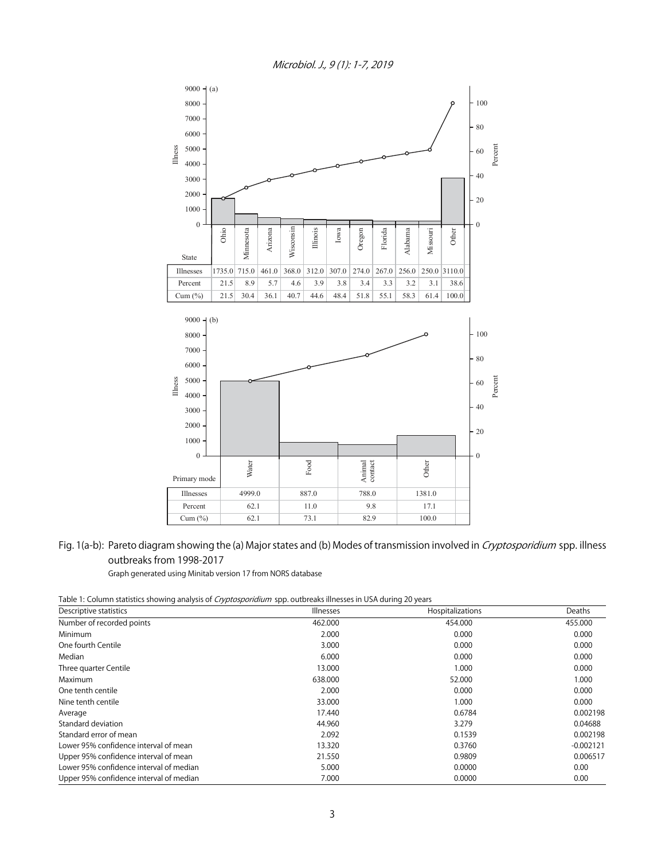Microbiol. J., 9 (1): 1-7, 2019



### Fig. 1(a-b): Pareto diagram showing the (a) Major states and (b) Modes of transmission involved in *Cryptosporidium* spp. illness outbreaks from 1998-2017

Graph generated using Minitab version 17 from NORS database

Table 1: Column statistics showing analysis of *Cryptosporidium* spp. outbreaks illnesses in USA during 20 years

| Descriptive statistics                  | . .<br>Illnesses | Hospitalizations | Deaths      |
|-----------------------------------------|------------------|------------------|-------------|
| Number of recorded points               | 462.000          | 454.000          | 455.000     |
| Minimum                                 | 2.000            | 0.000            | 0.000       |
| One fourth Centile                      | 3.000            | 0.000            | 0.000       |
| Median                                  | 6.000            | 0.000            | 0.000       |
| Three quarter Centile                   | 13.000           | 1.000            | 0.000       |
| Maximum                                 | 638.000          | 52.000           | 1.000       |
| One tenth centile                       | 2.000            | 0.000            | 0.000       |
| Nine tenth centile                      | 33.000           | 1.000            | 0.000       |
| Average                                 | 17.440           | 0.6784           | 0.002198    |
| Standard deviation                      | 44.960           | 3.279            | 0.04688     |
| Standard error of mean                  | 2.092            | 0.1539           | 0.002198    |
| Lower 95% confidence interval of mean   | 13.320           | 0.3760           | $-0.002121$ |
| Upper 95% confidence interval of mean   | 21.550           | 0.9809           | 0.006517    |
| Lower 95% confidence interval of median | 5.000            | 0.0000           | 0.00        |
| Upper 95% confidence interval of median | 7.000            | 0.0000           | 0.00        |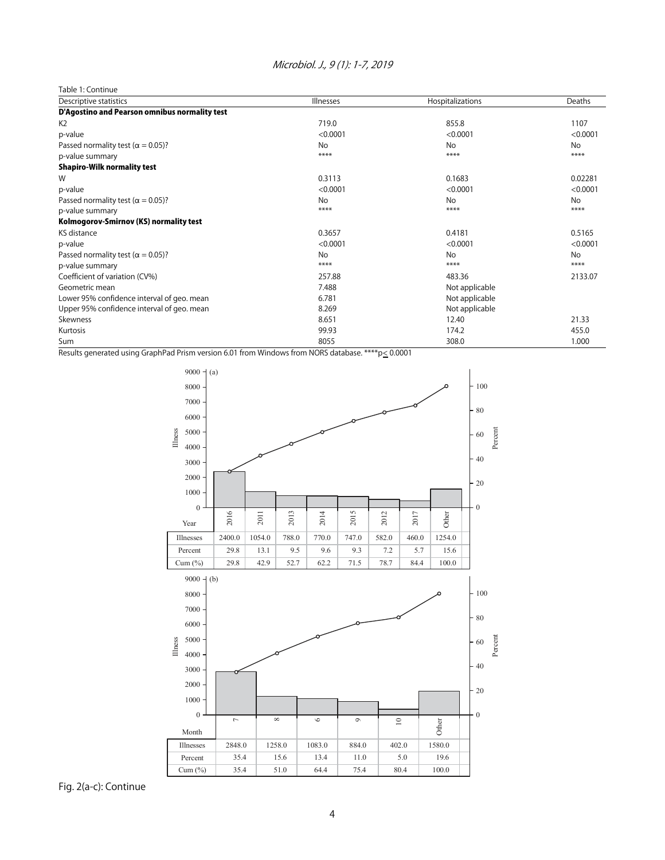#### Microbiol. J., 9 (1): 1-7, 2019

| Table 1: Continue                             |                  |                  |           |  |
|-----------------------------------------------|------------------|------------------|-----------|--|
| Descriptive statistics                        | <b>Illnesses</b> | Hospitalizations | Deaths    |  |
| D'Agostino and Pearson omnibus normality test |                  |                  |           |  |
| K <sub>2</sub>                                | 719.0            | 855.8            | 1107      |  |
| p-value                                       | < 0.0001         | < 0.0001         | < 0.0001  |  |
| Passed normality test ( $\alpha$ = 0.05)?     | No               | No               | No        |  |
| p-value summary                               | ****             | ****             | ****      |  |
| <b>Shapiro-Wilk normality test</b>            |                  |                  |           |  |
| W                                             | 0.3113           | 0.1683           | 0.02281   |  |
| p-value                                       | < 0.0001         | < 0.0001         | < 0.0001  |  |
| Passed normality test ( $\alpha$ = 0.05)?     | No               | No               | <b>No</b> |  |
| p-value summary                               | ****             | ****             | ****      |  |
| Kolmogorov-Smirnov (KS) normality test        |                  |                  |           |  |
| KS distance                                   | 0.3657           | 0.4181           | 0.5165    |  |
| p-value                                       | < 0.0001         | < 0.0001         | < 0.0001  |  |
| Passed normality test ( $\alpha$ = 0.05)?     | No               | No               | <b>No</b> |  |
| p-value summary                               | ****             | ****             | ****      |  |
| Coefficient of variation (CV%)                | 257.88           | 483.36           | 2133.07   |  |
| Geometric mean                                | 7.488            | Not applicable   |           |  |
| Lower 95% confidence interval of geo. mean    | 6.781            | Not applicable   |           |  |
| Upper 95% confidence interval of geo. mean    | 8.269            | Not applicable   |           |  |
| Skewness                                      | 8.651            | 12.40            | 21.33     |  |
| Kurtosis                                      | 99.93            | 174.2            | 455.0     |  |
| Sum                                           | 8055             | 308.0            | 1.000     |  |

Results generated using GraphPad Prism version 6.01 from Windows from NORS database. \*\*\*\* p< 0.0001



Fig. 2(a-c): Continue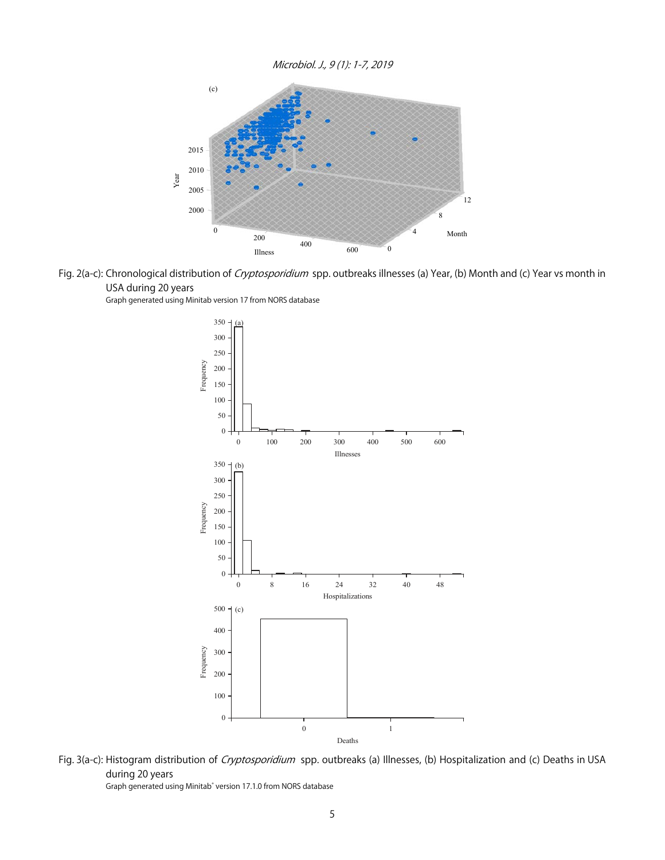Microbiol. J., 9 (1): 1-7, 2019



Fig. 2(a-c): Chronological distribution of Cryptosporidium spp. outbreaks illnesses (a) Year, (b) Month and (c) Year vs month in USA during 20 years

Graph generated using Minitab version 17 from NORS database



Fig. 3(a-c): Histogram distribution of Cryptosporidium spp. outbreaks (a) Illnesses, (b) Hospitalization and (c) Deaths in USA during 20 years Graph generated using Minitab<sup>®</sup> version 17.1.0 from NORS database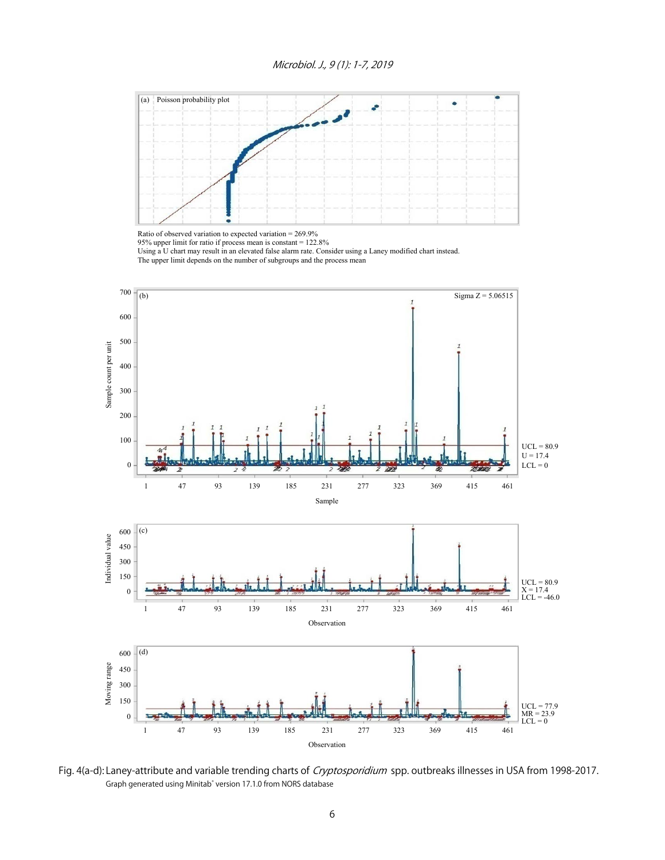

Ratio of observed variation to expected variation = 269.9% 95% upper limit for ratio if process mean is constant = 122.8% Using a U chart may result in an elevated false alarm rate. Consider using a Laney modified chart instead. The upper limit depends on the number of subgroups and the process mean



Fig. 4(a-d): Laney-attribute and variable trending charts of Cryptosporidium spp. outbreaks illnesses in USA from 1998-2017. Graph generated using Minitab<sup>®</sup> version 17.1.0 from NORS database